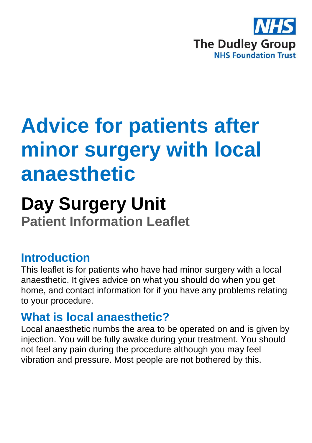

# **Advice for patients after minor surgery with local anaesthetic**

## **Day Surgery Unit Patient Information Leaflet**

#### **Introduction**

This leaflet is for patients who have had minor surgery with a local anaesthetic. It gives advice on what you should do when you get home, and contact information for if you have any problems relating to your procedure.

## **What is local anaesthetic?**

Local anaesthetic numbs the area to be operated on and is given by injection. You will be fully awake during your treatment. You should not feel any pain during the procedure although you may feel vibration and pressure. Most people are not bothered by this.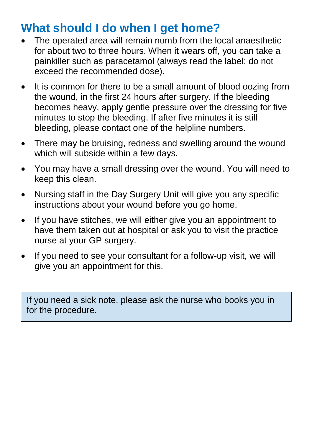## **What should I do when I get home?**

- The operated area will remain numb from the local anaesthetic for about two to three hours. When it wears off, you can take a painkiller such as paracetamol (always read the label; do not exceed the recommended dose).
- It is common for there to be a small amount of blood oozing from the wound, in the first 24 hours after surgery. If the bleeding becomes heavy, apply gentle pressure over the dressing for five minutes to stop the bleeding. If after five minutes it is still bleeding, please contact one of the helpline numbers.
- There may be bruising, redness and swelling around the wound which will subside within a few days.
- You may have a small dressing over the wound. You will need to keep this clean.
- Nursing staff in the Day Surgery Unit will give you any specific instructions about your wound before you go home.
- If you have stitches, we will either give you an appointment to have them taken out at hospital or ask you to visit the practice nurse at your GP surgery.
- If you need to see your consultant for a follow-up visit, we will give you an appointment for this.

If you need a sick note, please ask the nurse who books you in for the procedure.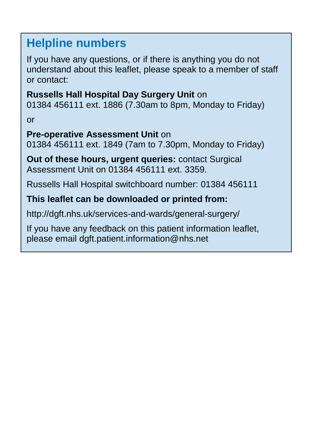## **Helpline numbers**

If you have any questions, or if there is anything you do not understand about this leaflet, please speak to a member of staff or contact:

**Russells Hall Hospital Day Surgery Unit** on 01384 456111 ext. 1886 (7.30am to 8pm, Monday to Friday)

or

#### **Pre-operative Assessment Unit** on

01384 456111 ext. 1849 (7am to 7.30pm, Monday to Friday)

**Out of these hours, urgent queries:** contact Surgical Assessment Unit on 01384 456111 ext. 3359.

Russells Hall Hospital switchboard number: 01384 456111

#### **This leaflet can be downloaded or printed from:**

http://dgft.nhs.uk/services-and-wards/general-surgery/

If you have any feedback on this patient information leaflet, please email dgft.patient.information@nhs.net